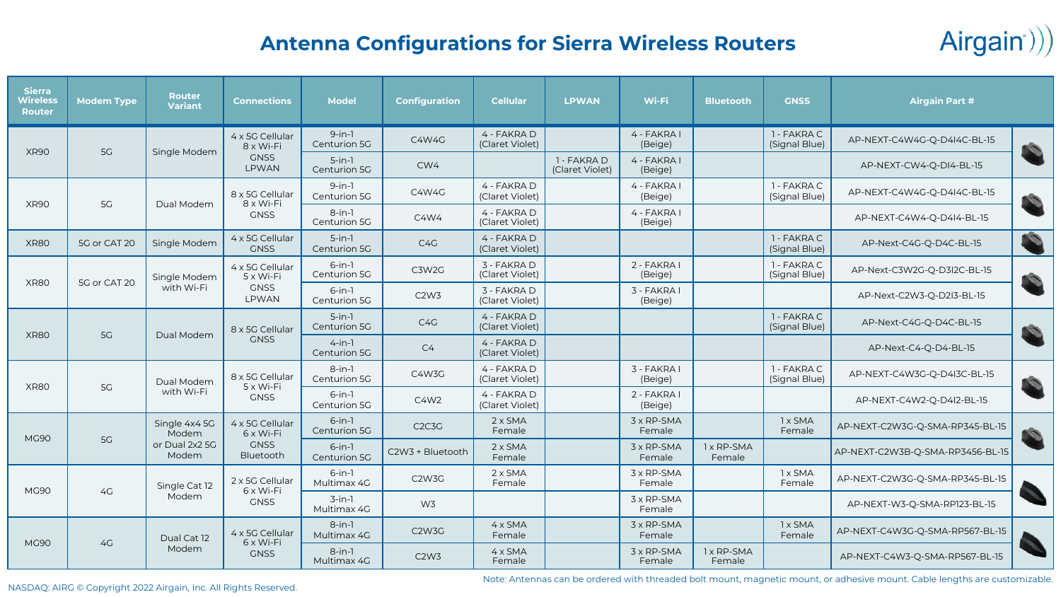

## **Antenna Configurations for Sierra Wireless Routers**

| <b>Sierra</b><br>Wireless<br><b>Router</b> | <b>Modem Type</b> | <b>Router</b><br><b>Variant</b>                   | <b>Connections</b>                                   | <b>Model</b>                 | <b>Configuration</b>            | <b>Cellular</b>                | <b>LPWAN</b>                   | Wi-Fi                    | <b>Bluetooth</b>         | <b>GNSS</b>                  | <b>Airgain Part #</b>           |              |                                  |                      |  |
|--------------------------------------------|-------------------|---------------------------------------------------|------------------------------------------------------|------------------------------|---------------------------------|--------------------------------|--------------------------------|--------------------------|--------------------------|------------------------------|---------------------------------|--------------|----------------------------------|----------------------|--|
| <b>XR90</b>                                | 5G                | Single Modem                                      | 4 x 5G Cellular<br>8 x Wi-Fi<br><b>GNSS</b><br>LPWAN | $9$ -in-1<br>Centurion 5G    | <b>C4W4G</b>                    | 4 - FAKRA D<br>(Claret Violet) |                                | 4 - FAKRA I<br>(Beige)   |                          | 1 - FAKRA C<br>(Signal Blue) | AP-NEXT-C4W4G-Q-D4I4C-BL-15     | P            |                                  |                      |  |
|                                            |                   |                                                   |                                                      | $5-in-1$<br>Centurion 5G     | CW4                             |                                | 1 - FAKRA D<br>(Claret Violet) | 4 - FAKRA I<br>(Beige)   |                          |                              | AP-NEXT-CW4-Q-DI4-BL-15         |              |                                  |                      |  |
| <b>XR90</b>                                | 5G                | Dual Modem                                        | 8 x 5G Cellular<br>$8 \times Wi$ -Fi<br><b>GNSS</b>  | $9$ -in-1<br>Centurion 5G    | C4W4G                           | 4 - FAKRA D<br>(Claret Violet) |                                | 4 - FAKRA I<br>(Beige)   |                          | 1 - FAKRA C<br>(Signal Blue) | AP-NEXT-C4W4G-Q-D4I4C-BL-15     | D            |                                  |                      |  |
|                                            |                   |                                                   |                                                      | $8$ -in-1<br>Centurion 5G    | C4W4                            | 4 - FAKRA D<br>(Claret Violet) |                                | 4 - FAKRA I<br>(Beige)   |                          |                              | AP-NEXT-C4W4-Q-D4I4-BL-15       |              |                                  |                      |  |
| <b>XR80</b>                                | 5G or CAT 20      | Single Modem                                      | 4 x 5G Cellular<br><b>GNSS</b>                       | $5$ -in-1<br>Centurion 5G    | C <sub>4</sub> G                | 4 - FAKRA D<br>(Claret Violet) |                                |                          |                          | 1 - FAKRA C<br>(Signal Blue) | AP-Next-C4G-Q-D4C-BL-15         |              |                                  |                      |  |
| <b>XR80</b>                                | 5G or CAT 20      | Single Modem<br>with Wi-Fi                        | 4 x 5G Cellular<br>$5 \times Wi$ -Fi                 | $6$ -in-1<br>Centurion 5G    | C3W2G                           | 3 - FAKRA D<br>(Claret Violet) |                                | 2 - FAKRA I<br>(Beige)   |                          | 1 - FAKRA C<br>(Signal Blue) | AP-Next-C3W2G-Q-D3I2C-BL-15     | $\mathbf{C}$ |                                  |                      |  |
|                                            |                   |                                                   | <b>GNSS</b><br><b>LPWAN</b>                          | $6$ -in-1<br>Centurion 5G    | C <sub>2</sub> W <sub>3</sub>   | 3 - FAKRA D<br>(Claret Violet) |                                | 3 - FAKRA I<br>(Beige)   |                          |                              | AP-Next-C2W3-Q-D2I3-BL-15       |              |                                  |                      |  |
| <b>XR80</b>                                | 5G                | Dual Modem                                        | 8 x 5G Cellular                                      | $5-in-1$<br>Centurion 5G     | C4G                             | 4 - FAKRA D<br>(Claret Violet) |                                |                          |                          | 1 - FAKRA C<br>(Signal Blue) | AP-Next-C4G-Q-D4C-BL-15         | $\mathbf{C}$ |                                  |                      |  |
|                                            |                   |                                                   | <b>GNSS</b>                                          | $4 - in - 1$<br>Centurion 5G | C <sub>4</sub>                  | 4 - FAKRA D<br>(Claret Violet) |                                |                          |                          |                              | AP-Next-C4-Q-D4-BL-15           |              |                                  |                      |  |
| <b>XR80</b>                                | <b>5G</b>         | Dual Modem<br>with Wi-Fi                          | 8 x 5G Cellular<br>$5 \times Wi$ -Fi<br><b>GNSS</b>  | $8$ -in-1<br>Centurion 5G    | C4W3G                           | 4 - FAKRA D<br>(Claret Violet) |                                | 3 - FAKRA I<br>(Beige)   |                          | 1 - FAKRA C<br>(Signal Blue) | AP-NEXT-C4W3G-Q-D4I3C-BL-15     | D            |                                  |                      |  |
|                                            |                   |                                                   |                                                      | $6$ -in-1<br>Centurion 5G    | C4W2                            | 4 - FAKRA D<br>(Claret Violet) |                                | 2 - FAKRA I<br>(Beige)   |                          |                              | AP-NEXT-C4W2-Q-D4I2-BL-15       |              |                                  |                      |  |
| <b>MG90</b>                                | 5G                | Single 4x4 5G<br>Modem<br>or Dual 2x2 5G<br>Modem | 4 x 5G Cellular<br>$6 \times Wi$ -Fi                 | $6$ -in-1<br>Centurion 5G    | C <sub>2</sub> C <sub>3</sub> G | $2 \times$ SMA<br>Female       |                                | 3 x RP-SMA<br>Female     |                          | 1 x SMA<br>Female            | AP-NEXT-C2W3G-Q-SMA-RP345-BL-15 | $\mathbf{C}$ |                                  |                      |  |
|                                            |                   |                                                   |                                                      |                              | <b>GNSS</b><br>Bluetooth        | $6$ -in-1<br>Centurion 5G      | C2W3 + Bluetooth               | $2 \times$ SMA<br>Female |                          | 3 x RP-SMA<br>Female         | 1 x RP-SMA<br>Female            |              | AP-NEXT-C2W3B-Q-SMA-RP3456-BL-15 |                      |  |
| <b>MG90</b>                                | 4G                | Single Cat 12<br>Modem                            | 2 x 5G Cellular<br>$6 \times Wi$ -Fi<br><b>GNSS</b>  | $6$ -in-1<br>Multimax 4G     | C <sub>2</sub> W <sub>3</sub> G | $2 \times$ SMA<br>Female       |                                | 3 x RP-SMA<br>Female     |                          | 1 x SMA<br>Female            | AP-NEXT-C2W3G-Q-SMA-RP345-BL-15 |              |                                  |                      |  |
|                                            |                   |                                                   |                                                      | $3$ -in-1<br>Multimax 4G     | W <sub>3</sub>                  |                                |                                | 3 x RP-SMA<br>Female     |                          |                              | AP-NEXT-W3-Q-SMA-RP123-BL-15    |              |                                  |                      |  |
| <b>MG90</b>                                | 4G                | Dual Cat 12                                       | 4 x 5G Cellular<br>$6 \times Wi$ -Fi                 | $8 - in - 1$<br>Multimax 4G  | C <sub>2</sub> W <sub>3</sub> G | $4 \times$ SMA<br>Female       |                                | 3 x RP-SMA<br>Female     |                          | 1 x SMA<br>Female            | AP-NEXT-C4W3G-Q-SMA-RP567-BL-15 |              |                                  |                      |  |
|                                            |                   |                                                   |                                                      | Modem                        |                                 |                                |                                | <b>GNSS</b>              | $8$ -in-1<br>Multimax 4G | C2W3                         | $4 \times$ SMA<br>Female        |              | 3 x RP-SMA<br>Female             | 1 x RP-SMA<br>Female |  |

Note: Antennas can be ordered with threaded bolt mount, magnetic mount, or adhesive mount. Cable lengths are customizable.

NASDAQ: AIRG © Copyright 2022 Airgain, Inc. All Rights Reserved.